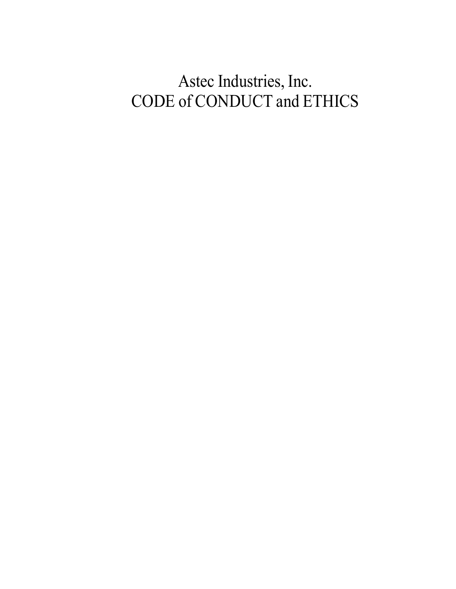# Astec Industries, Inc. CODE of CONDUCT and ETHICS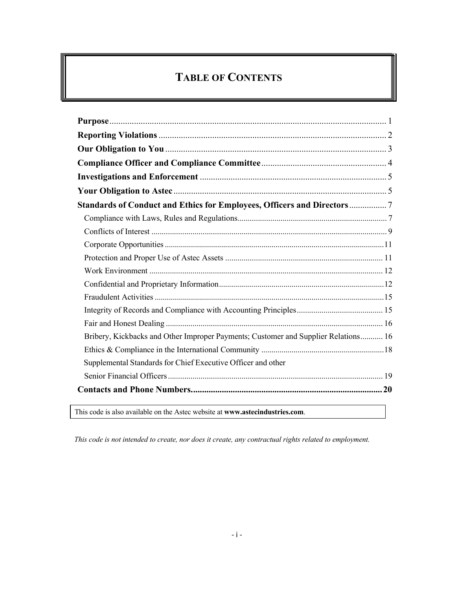## **TABLE OF CONTENTS**

| Standards of Conduct and Ethics for Employees, Officers and Directors7             |
|------------------------------------------------------------------------------------|
|                                                                                    |
|                                                                                    |
|                                                                                    |
|                                                                                    |
|                                                                                    |
|                                                                                    |
|                                                                                    |
|                                                                                    |
|                                                                                    |
| Bribery, Kickbacks and Other Improper Payments; Customer and Supplier Relations 16 |
|                                                                                    |
| Supplemental Standards for Chief Executive Officer and other                       |
|                                                                                    |
|                                                                                    |

This code is also available on the Astec website at **www.astecindustries.com**.

*This code is not intended to create, nor does it create, any contractual rights related to employment.*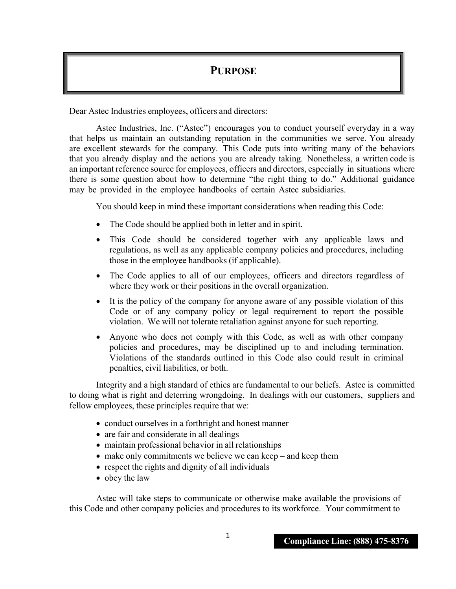## **PURPOSE**

Dear Astec Industries employees, officers and directors:

Astec Industries, Inc. ("Astec") encourages you to conduct yourself everyday in a way that helps us maintain an outstanding reputation in the communities we serve. You already are excellent stewards for the company. This Code puts into writing many of the behaviors that you already display and the actions you are already taking. Nonetheless, a written code is an important reference source for employees, officers and directors, especially in situations where there is some question about how to determine "the right thing to do." Additional guidance may be provided in the employee handbooks of certain Astec subsidiaries.

You should keep in mind these important considerations when reading this Code:

- The Code should be applied both in letter and in spirit.
- This Code should be considered together with any applicable laws and regulations, as well as any applicable company policies and procedures, including those in the employee handbooks (if applicable).
- The Code applies to all of our employees, officers and directors regardless of where they work or their positions in the overall organization.
- It is the policy of the company for anyone aware of any possible violation of this Code or of any company policy or legal requirement to report the possible violation. We will not tolerate retaliation against anyone for such reporting.
- Anyone who does not comply with this Code, as well as with other company policies and procedures, may be disciplined up to and including termination. Violations of the standards outlined in this Code also could result in criminal penalties, civil liabilities, or both.

Integrity and a high standard of ethics are fundamental to our beliefs. Astec is committed to doing what is right and deterring wrongdoing. In dealings with our customers, suppliers and fellow employees, these principles require that we:

- conduct ourselves in a forthright and honest manner
- are fair and considerate in all dealings
- maintain professional behavior in all relationships
- make only commitments we believe we can keep and keep them
- respect the rights and dignity of all individuals
- obey the law

Astec will take steps to communicate or otherwise make available the provisions of this Code and other company policies and procedures to its workforce. Your commitment to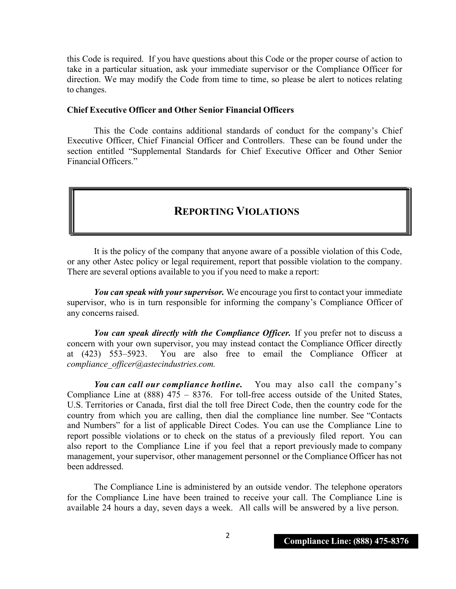this Code is required. If you have questions about this Code or the proper course of action to take in a particular situation, ask your immediate supervisor or the Compliance Officer for direction. We may modify the Code from time to time, so please be alert to notices relating to changes.

## **Chief Executive Officer and Other Senior Financial Officers**

This the Code contains additional standards of conduct for the company's Chief Executive Officer, Chief Financial Officer and Controllers. These can be found under the section entitled "Supplemental Standards for Chief Executive Officer and Other Senior Financial Officers."

## **REPORTING VIOLATIONS**

It is the policy of the company that anyone aware of a possible violation of this Code, or any other Astec policy or legal requirement, report that possible violation to the company. There are several options available to you if you need to make a report:

*You can speak with your supervisor.* We encourage you first to contact your immediate supervisor, who is in turn responsible for informing the company's Compliance Officer of any concerns raised.

*You can speak directly with the Compliance Officer.* If you prefer not to discuss a concern with your own supervisor, you may instead contact the Compliance Officer directly at (423) 553–5923. You are also free to email the Compliance Officer at *compliance\_officer@astecindustries.com.*

*You can call our compliance hotline.* You may also call the company's Compliance Line at  $(888)$  475 – 8376. For toll-free access outside of the United States, U.S. Territories or Canada, first dial the toll free Direct Code, then the country code for the country from which you are calling, then dial the compliance line number. See "Contacts and Numbers" for a list of applicable Direct Codes. You can use the Compliance Line to report possible violations or to check on the status of a previously filed report. You can also report to the Compliance Line if you feel that a report previously made to company management, your supervisor, other management personnel or the Compliance Officer has not been addressed.

The Compliance Line is administered by an outside vendor. The telephone operators for the Compliance Line have been trained to receive your call. The Compliance Line is available 24 hours a day, seven days a week. All calls will be answered by a live person.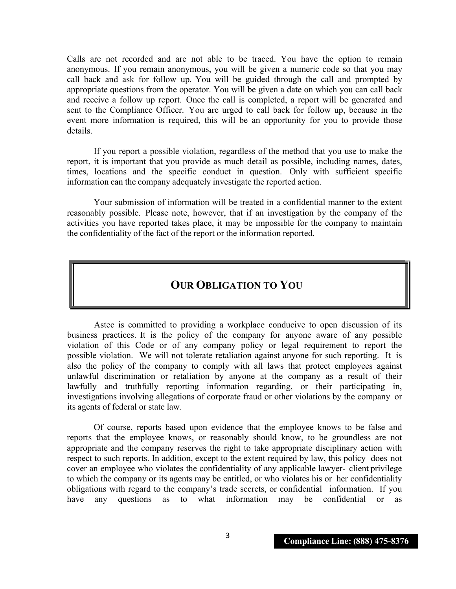Calls are not recorded and are not able to be traced. You have the option to remain anonymous. If you remain anonymous, you will be given a numeric code so that you may call back and ask for follow up. You will be guided through the call and prompted by appropriate questions from the operator. You will be given a date on which you can call back and receive a follow up report. Once the call is completed, a report will be generated and sent to the Compliance Officer. You are urged to call back for follow up, because in the event more information is required, this will be an opportunity for you to provide those details.

If you report a possible violation, regardless of the method that you use to make the report, it is important that you provide as much detail as possible, including names, dates, times, locations and the specific conduct in question. Only with sufficient specific information can the company adequately investigate the reported action.

Your submission of information will be treated in a confidential manner to the extent reasonably possible. Please note, however, that if an investigation by the company of the activities you have reported takes place, it may be impossible for the company to maintain the confidentiality of the fact of the report or the information reported.

## **OUR OBLIGATION TO YOU**

Astec is committed to providing a workplace conducive to open discussion of its business practices. It is the policy of the company for anyone aware of any possible violation of this Code or of any company policy or legal requirement to report the possible violation. We will not tolerate retaliation against anyone for such reporting. It is also the policy of the company to comply with all laws that protect employees against unlawful discrimination or retaliation by anyone at the company as a result of their lawfully and truthfully reporting information regarding, or their participating in, investigations involving allegations of corporate fraud or other violations by the company or its agents of federal or state law.

Of course, reports based upon evidence that the employee knows to be false and reports that the employee knows, or reasonably should know, to be groundless are not appropriate and the company reserves the right to take appropriate disciplinary action with respect to such reports. In addition, except to the extent required by law, this policy does not cover an employee who violates the confidentiality of any applicable lawyer- client privilege to which the company or its agents may be entitled, or who violates his or her confidentiality obligations with regard to the company's trade secrets, or confidential information. If you have any questions as to what information may be confidential or as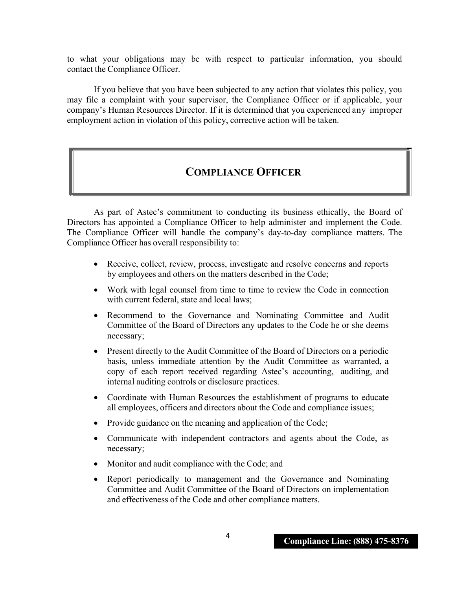to what your obligations may be with respect to particular information, you should contact the Compliance Officer.

If you believe that you have been subjected to any action that violates this policy, you may file a complaint with your supervisor, the Compliance Officer or if applicable, your company's Human Resources Director. If it is determined that you experienced any improper employment action in violation of this policy, corrective action will be taken.

## **COMPLIANCE OFFICER**

As part of Astec's commitment to conducting its business ethically, the Board of Directors has appointed a Compliance Officer to help administer and implement the Code. The Compliance Officer will handle the company's day-to-day compliance matters. The Compliance Officer has overall responsibility to:

- Receive, collect, review, process, investigate and resolve concerns and reports by employees and others on the matters described in the Code;
- Work with legal counsel from time to time to review the Code in connection with current federal, state and local laws;
- Recommend to the Governance and Nominating Committee and Audit Committee of the Board of Directors any updates to the Code he or she deems necessary;
- Present directly to the Audit Committee of the Board of Directors on a periodic basis, unless immediate attention by the Audit Committee as warranted, a copy of each report received regarding Astec's accounting, auditing, and internal auditing controls or disclosure practices.
- Coordinate with Human Resources the establishment of programs to educate all employees, officers and directors about the Code and compliance issues;
- Provide guidance on the meaning and application of the Code;
- Communicate with independent contractors and agents about the Code, as necessary;
- Monitor and audit compliance with the Code; and
- Report periodically to management and the Governance and Nominating Committee and Audit Committee of the Board of Directors on implementation and effectiveness of the Code and other compliance matters.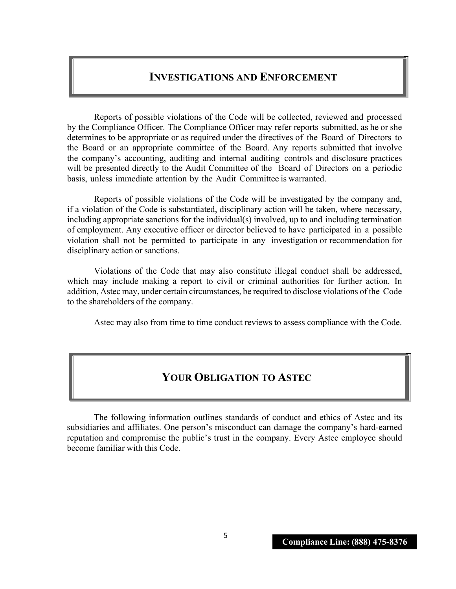## **INVESTIGATIONS AND ENFORCEMENT**

Reports of possible violations of the Code will be collected, reviewed and processed by the Compliance Officer. The Compliance Officer may refer reports submitted, as he or she determines to be appropriate or as required under the directives of the Board of Directors to the Board or an appropriate committee of the Board. Any reports submitted that involve the company's accounting, auditing and internal auditing controls and disclosure practices will be presented directly to the Audit Committee of the Board of Directors on a periodic basis, unless immediate attention by the Audit Committee is warranted.

Reports of possible violations of the Code will be investigated by the company and, if a violation of the Code is substantiated, disciplinary action will be taken, where necessary, including appropriate sanctions for the individual(s) involved, up to and including termination of employment. Any executive officer or director believed to have participated in a possible violation shall not be permitted to participate in any investigation or recommendation for disciplinary action or sanctions.

Violations of the Code that may also constitute illegal conduct shall be addressed, which may include making a report to civil or criminal authorities for further action. In addition, Astec may, under certain circumstances, be required to disclose violations of the Code to the shareholders of the company.

Astec may also from time to time conduct reviews to assess compliance with the Code.

## **YOUR OBLIGATION TO ASTEC**

The following information outlines standards of conduct and ethics of Astec and its subsidiaries and affiliates. One person's misconduct can damage the company's hard-earned reputation and compromise the public's trust in the company. Every Astec employee should become familiar with this Code.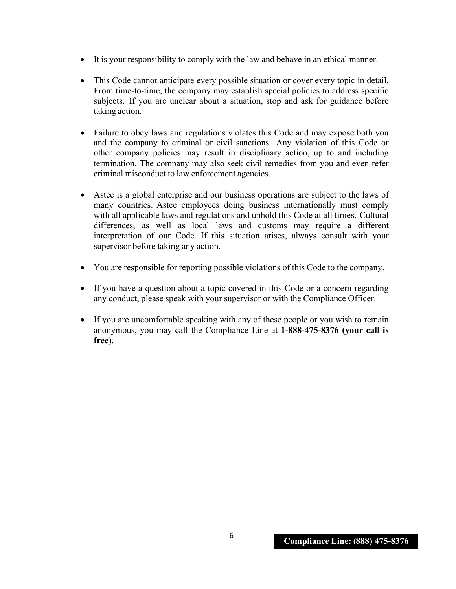- It is your responsibility to comply with the law and behave in an ethical manner.
- This Code cannot anticipate every possible situation or cover every topic in detail. From time-to-time, the company may establish special policies to address specific subjects. If you are unclear about a situation, stop and ask for guidance before taking action.
- Failure to obey laws and regulations violates this Code and may expose both you and the company to criminal or civil sanctions. Any violation of this Code or other company policies may result in disciplinary action, up to and including termination. The company may also seek civil remedies from you and even refer criminal misconduct to law enforcement agencies.
- Astec is a global enterprise and our business operations are subject to the laws of many countries. Astec employees doing business internationally must comply with all applicable laws and regulations and uphold this Code at all times. Cultural differences, as well as local laws and customs may require a different interpretation of our Code. If this situation arises, always consult with your supervisor before taking any action.
- You are responsible for reporting possible violations of this Code to the company.
- If you have a question about a topic covered in this Code or a concern regarding any conduct, please speak with your supervisor or with the Compliance Officer.
- If you are uncomfortable speaking with any of these people or you wish to remain anonymous, you may call the Compliance Line at **1-888-475-8376 (your call is free)**.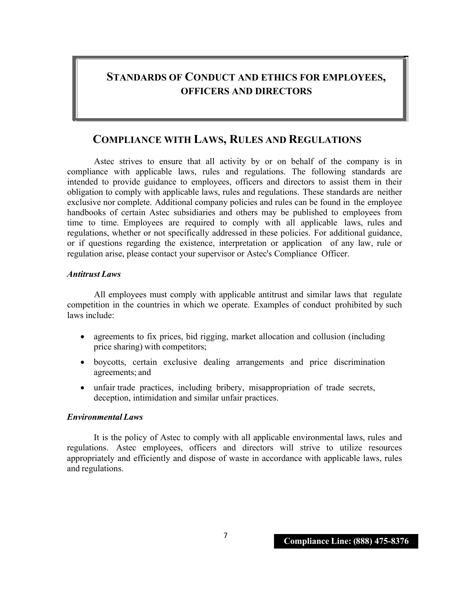## **STANDARDS OF CONDUCT AND ETHICS FOR EMPLOYEES, OFFICERS AND DIRECTORS**

## **COMPLIANCE WITH LAWS, RULES AND REGULATIONS**

Astec strives to ensure that all activity by or on behalf of the company is in compliance with applicable laws, rules and regulations. The following standards are intended to provide guidance to employees, officers and directors to assist them in their obligation to comply with applicable laws, rules and regulations. These standards are neither exclusive nor complete. Additional company policies and rules can be found in the employee handbooks of certain Astec subsidiaries and others may be published to employees from time to time. Employees are required to comply with all applicable laws, rules and regulations, whether or not specifically addressed in these policies. For additional guidance, or if questions regarding the existence, interpretation or application of any law, rule or regulation arise, please contact your supervisor or Astec's Compliance Officer.

## *Antitrust Laws*

All employees must comply with applicable antitrust and similar laws that regulate competition in the countries in which we operate. Examples of conduct prohibited by such laws include:

- agreements to fix prices, bid rigging, market allocation and collusion (including price sharing) with competitors;
- boycotts, certain exclusive dealing arrangements and price discrimination agreements; and
- unfair trade practices, including bribery, misappropriation of trade secrets, deception, intimidation and similar unfair practices.

## *Environmental Laws*

It is the policy of Astec to comply with all applicable environmental laws, rules and regulations. Astec employees, officers and directors will strive to utilize resources appropriately and efficiently and dispose of waste in accordance with applicable laws, rules and regulations.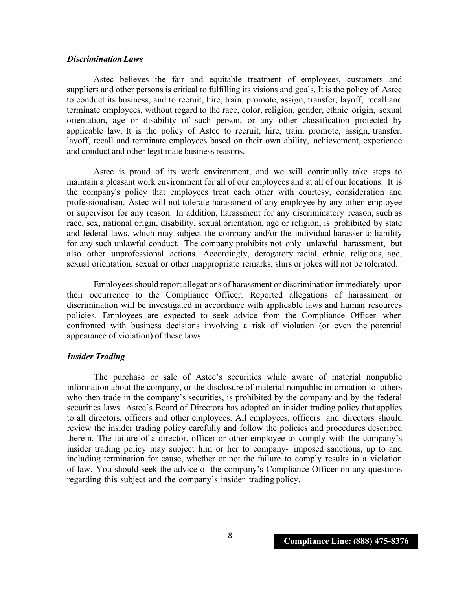#### *Discrimination Laws*

Astec believes the fair and equitable treatment of employees, customers and suppliers and other persons is critical to fulfilling its visions and goals. It is the policy of Astec to conduct its business, and to recruit, hire, train, promote, assign, transfer, layoff, recall and terminate employees, without regard to the race, color, religion, gender, ethnic origin, sexual orientation, age or disability of such person, or any other classification protected by applicable law. It is the policy of Astec to recruit, hire, train, promote, assign, transfer, layoff, recall and terminate employees based on their own ability, achievement, experience and conduct and other legitimate business reasons.

Astec is proud of its work environment, and we will continually take steps to maintain a pleasant work environment for all of our employees and at all of our locations. It is the company's policy that employees treat each other with courtesy, consideration and professionalism. Astec will not tolerate harassment of any employee by any other employee or supervisor for any reason. In addition, harassment for any discriminatory reason, such as race, sex, national origin, disability, sexual orientation, age or religion, is prohibited by state and federal laws, which may subject the company and/or the individual harasser to liability for any such unlawful conduct. The company prohibits not only unlawful harassment, but also other unprofessional actions. Accordingly, derogatory racial, ethnic, religious, age, sexual orientation, sexual or other inappropriate remarks, slurs or jokes will not be tolerated.

Employees should report allegations of harassment or discrimination immediately upon their occurrence to the Compliance Officer. Reported allegations of harassment or discrimination will be investigated in accordance with applicable laws and human resources policies. Employees are expected to seek advice from the Compliance Officer when confronted with business decisions involving a risk of violation (or even the potential appearance of violation) of these laws.

## *Insider Trading*

The purchase or sale of Astec's securities while aware of material nonpublic information about the company, or the disclosure of material nonpublic information to others who then trade in the company's securities, is prohibited by the company and by the federal securities laws. Astec's Board of Directors has adopted an insider trading policy that applies to all directors, officers and other employees. All employees, officers and directors should review the insider trading policy carefully and follow the policies and procedures described therein. The failure of a director, officer or other employee to comply with the company's insider trading policy may subject him or her to company- imposed sanctions, up to and including termination for cause, whether or not the failure to comply results in a violation of law. You should seek the advice of the company's Compliance Officer on any questions regarding this subject and the company's insider trading policy.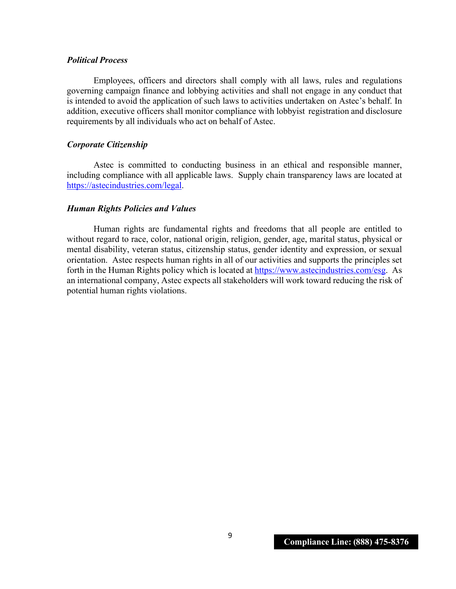## *Political Process*

Employees, officers and directors shall comply with all laws, rules and regulations governing campaign finance and lobbying activities and shall not engage in any conduct that is intended to avoid the application of such laws to activities undertaken on Astec's behalf. In addition, executive officers shall monitor compliance with lobbyist registration and disclosure requirements by all individuals who act on behalf of Astec.

## *Corporate Citizenship*

Astec is committed to conducting business in an ethical and responsible manner, including compliance with all applicable laws. Supply chain transparency laws are located at https://astecindustries.com/legal.

### *Human Rights Policies and Values*

Human rights are fundamental rights and freedoms that all people are entitled to without regard to race, color, national origin, religion, gender, age, marital status, physical or mental disability, veteran status, citizenship status, gender identity and expression, or sexual orientation. Astec respects human rights in all of our activities and supports the principles set forth in the Human Rights policy which is located at https://www.astecindustries.com/esg. As an international company, Astec expects all stakeholders will work toward reducing the risk of potential human rights violations.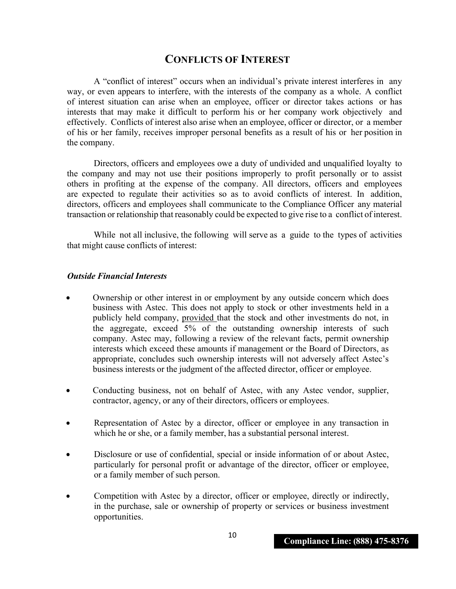## **CONFLICTS OF INTEREST**

A "conflict of interest" occurs when an individual's private interest interferes in any way, or even appears to interfere, with the interests of the company as a whole. A conflict of interest situation can arise when an employee, officer or director takes actions or has interests that may make it difficult to perform his or her company work objectively and effectively. Conflicts of interest also arise when an employee, officer or director, or a member of his or her family, receives improper personal benefits as a result of his or her position in the company.

Directors, officers and employees owe a duty of undivided and unqualified loyalty to the company and may not use their positions improperly to profit personally or to assist others in profiting at the expense of the company. All directors, officers and employees are expected to regulate their activities so as to avoid conflicts of interest. In addition, directors, officers and employees shall communicate to the Compliance Officer any material transaction or relationship that reasonably could be expected to give rise to a conflict of interest.

While not all inclusive, the following will serve as a guide to the types of activities that might cause conflicts of interest:

## *Outside Financial Interests*

- Ownership or other interest in or employment by any outside concern which does business with Astec. This does not apply to stock or other investments held in a publicly held company, provided that the stock and other investments do not, in the aggregate, exceed 5% of the outstanding ownership interests of such company. Astec may, following a review of the relevant facts, permit ownership interests which exceed these amounts if management or the Board of Directors, as appropriate, concludes such ownership interests will not adversely affect Astec's business interests or the judgment of the affected director, officer or employee.
- Conducting business, not on behalf of Astec, with any Astec vendor, supplier, contractor, agency, or any of their directors, officers or employees.
- Representation of Astec by a director, officer or employee in any transaction in which he or she, or a family member, has a substantial personal interest.
- Disclosure or use of confidential, special or inside information of or about Astec, particularly for personal profit or advantage of the director, officer or employee, or a family member of such person.
- Competition with Astec by a director, officer or employee, directly or indirectly, in the purchase, sale or ownership of property or services or business investment opportunities.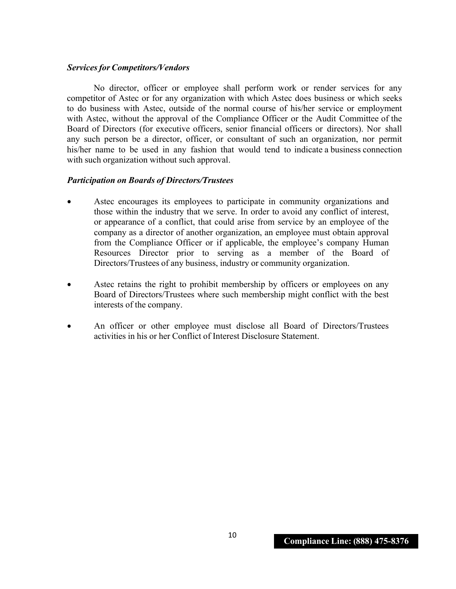## *Servicesfor Competitors/Vendors*

No director, officer or employee shall perform work or render services for any competitor of Astec or for any organization with which Astec does business or which seeks to do business with Astec, outside of the normal course of his/her service or employment with Astec, without the approval of the Compliance Officer or the Audit Committee of the Board of Directors (for executive officers, senior financial officers or directors). Nor shall any such person be a director, officer, or consultant of such an organization, nor permit his/her name to be used in any fashion that would tend to indicate a business connection with such organization without such approval.

## *Participation on Boards of Directors/Trustees*

- Astec encourages its employees to participate in community organizations and those within the industry that we serve. In order to avoid any conflict of interest, or appearance of a conflict, that could arise from service by an employee of the company as a director of another organization, an employee must obtain approval from the Compliance Officer or if applicable, the employee's company Human Resources Director prior to serving as a member of the Board of Directors/Trustees of any business, industry or community organization.
- Astec retains the right to prohibit membership by officers or employees on any Board of Directors/Trustees where such membership might conflict with the best interests of the company.
- An officer or other employee must disclose all Board of Directors/Trustees activities in his or her Conflict of Interest Disclosure Statement.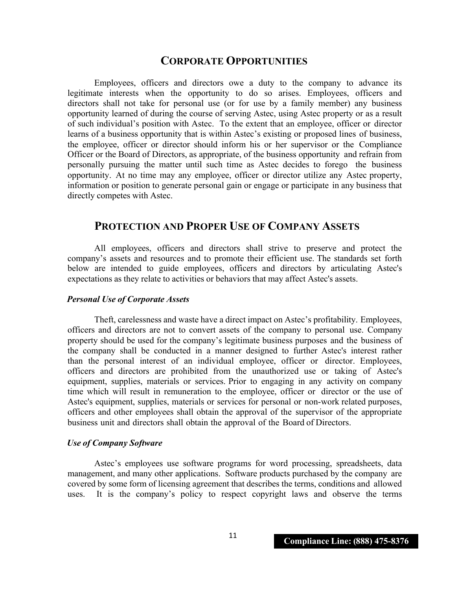## **CORPORATE OPPORTUNITIES**

Employees, officers and directors owe a duty to the company to advance its legitimate interests when the opportunity to do so arises. Employees, officers and directors shall not take for personal use (or for use by a family member) any business opportunity learned of during the course of serving Astec, using Astec property or as a result of such individual's position with Astec. To the extent that an employee, officer or director learns of a business opportunity that is within Astec's existing or proposed lines of business, the employee, officer or director should inform his or her supervisor or the Compliance Officer or the Board of Directors, as appropriate, of the business opportunity and refrain from personally pursuing the matter until such time as Astec decides to forego the business opportunity. At no time may any employee, officer or director utilize any Astec property, information or position to generate personal gain or engage or participate in any business that directly competes with Astec.

## **PROTECTION AND PROPER USE OF COMPANY ASSETS**

All employees, officers and directors shall strive to preserve and protect the company's assets and resources and to promote their efficient use. The standards set forth below are intended to guide employees, officers and directors by articulating Astec's expectations as they relate to activities or behaviors that may affect Astec's assets.

## *Personal Use of Corporate Assets*

Theft, carelessness and waste have a direct impact on Astec's profitability. Employees, officers and directors are not to convert assets of the company to personal use. Company property should be used for the company's legitimate business purposes and the business of the company shall be conducted in a manner designed to further Astec's interest rather than the personal interest of an individual employee, officer or director. Employees, officers and directors are prohibited from the unauthorized use or taking of Astec's equipment, supplies, materials or services. Prior to engaging in any activity on company time which will result in remuneration to the employee, officer or director or the use of Astec's equipment, supplies, materials or services for personal or non-work related purposes, officers and other employees shall obtain the approval of the supervisor of the appropriate business unit and directors shall obtain the approval of the Board of Directors.

## *Use of Company Software*

Astec's employees use software programs for word processing, spreadsheets, data management, and many other applications. Software products purchased by the company are covered by some form of licensing agreement that describes the terms, conditions and allowed uses. It is the company's policy to respect copyright laws and observe the terms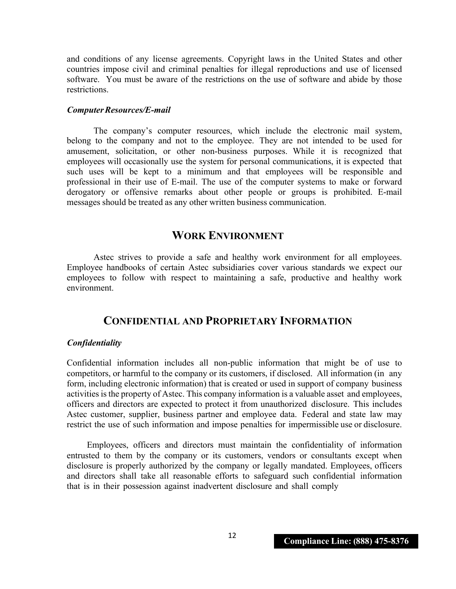and conditions of any license agreements. Copyright laws in the United States and other countries impose civil and criminal penalties for illegal reproductions and use of licensed software. You must be aware of the restrictions on the use of software and abide by those restrictions.

### *ComputerResources/E-mail*

The company's computer resources, which include the electronic mail system, belong to the company and not to the employee. They are not intended to be used for amusement, solicitation, or other non-business purposes. While it is recognized that employees will occasionally use the system for personal communications, it is expected that such uses will be kept to a minimum and that employees will be responsible and professional in their use of E-mail. The use of the computer systems to make or forward derogatory or offensive remarks about other people or groups is prohibited. E-mail messages should be treated as any other written business communication.

## **WORK ENVIRONMENT**

Astec strives to provide a safe and healthy work environment for all employees. Employee handbooks of certain Astec subsidiaries cover various standards we expect our employees to follow with respect to maintaining a safe, productive and healthy work environment.

## **CONFIDENTIAL AND PROPRIETARY INFORMATION**

#### *Confidentiality*

Confidential information includes all non-public information that might be of use to competitors, or harmful to the company or its customers, if disclosed. All information (in any form, including electronic information) that is created or used in support of company business activities is the property of Astec. This company information is a valuable asset and employees, officers and directors are expected to protect it from unauthorized disclosure. This includes Astec customer, supplier, business partner and employee data. Federal and state law may restrict the use of such information and impose penalties for impermissible use or disclosure.

Employees, officers and directors must maintain the confidentiality of information entrusted to them by the company or its customers, vendors or consultants except when disclosure is properly authorized by the company or legally mandated. Employees, officers and directors shall take all reasonable efforts to safeguard such confidential information that is in their possession against inadvertent disclosure and shall comply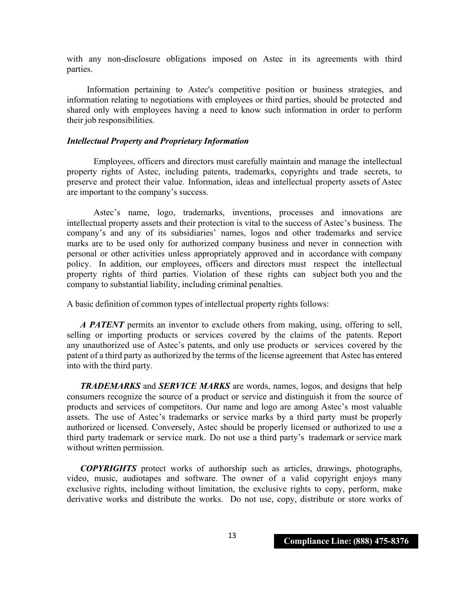with any non-disclosure obligations imposed on Astec in its agreements with third parties.

Information pertaining to Astec's competitive position or business strategies, and information relating to negotiations with employees or third parties, should be protected and shared only with employees having a need to know such information in order to perform their job responsibilities.

#### *Intellectual Property and Proprietary Information*

Employees, officers and directors must carefully maintain and manage the intellectual property rights of Astec, including patents, trademarks, copyrights and trade secrets, to preserve and protect their value. Information, ideas and intellectual property assets of Astec are important to the company's success.

Astec's name, logo, trademarks, inventions, processes and innovations are intellectual property assets and their protection is vital to the success of Astec's business. The company's and any of its subsidiaries' names, logos and other trademarks and service marks are to be used only for authorized company business and never in connection with personal or other activities unless appropriately approved and in accordance with company policy. In addition, our employees, officers and directors must respect the intellectual property rights of third parties. Violation of these rights can subject both you and the company to substantial liability, including criminal penalties.

A basic definition of common types of intellectual property rights follows:

*A PATENT* permits an inventor to exclude others from making, using, offering to sell, selling or importing products or services covered by the claims of the patents. Report any unauthorized use of Astec's patents, and only use products or services covered by the patent of a third party as authorized by the terms of the license agreement that Astec has entered into with the third party.

*TRADEMARKS* and *SERVICE MARKS* are words, names, logos, and designs that help consumers recognize the source of a product or service and distinguish it from the source of products and services of competitors. Our name and logo are among Astec's most valuable assets. The use of Astec's trademarks or service marks by a third party must be properly authorized or licensed. Conversely, Astec should be properly licensed or authorized to use a third party trademark or service mark. Do not use a third party's trademark or service mark without written permission.

*COPYRIGHTS* protect works of authorship such as articles, drawings, photographs, video, music, audiotapes and software. The owner of a valid copyright enjoys many exclusive rights, including without limitation, the exclusive rights to copy, perform, make derivative works and distribute the works. Do not use, copy, distribute or store works of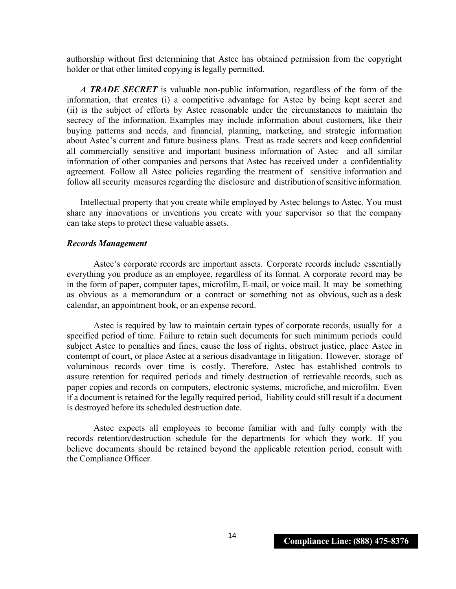authorship without first determining that Astec has obtained permission from the copyright holder or that other limited copying is legally permitted.

*A TRADE SECRET* is valuable non-public information, regardless of the form of the information, that creates (i) a competitive advantage for Astec by being kept secret and (ii) is the subject of efforts by Astec reasonable under the circumstances to maintain the secrecy of the information. Examples may include information about customers, like their buying patterns and needs, and financial, planning, marketing, and strategic information about Astec's current and future business plans. Treat as trade secrets and keep confidential all commercially sensitive and important business information of Astec and all similar information of other companies and persons that Astec has received under a confidentiality agreement. Follow all Astec policies regarding the treatment of sensitive information and follow all security measures regarding the disclosure and distribution of sensitive information.

Intellectual property that you create while employed by Astec belongs to Astec. You must share any innovations or inventions you create with your supervisor so that the company can take steps to protect these valuable assets.

#### *Records Management*

Astec's corporate records are important assets. Corporate records include essentially everything you produce as an employee, regardless of its format. A corporate record may be in the form of paper, computer tapes, microfilm, E-mail, or voice mail. It may be something as obvious as a memorandum or a contract or something not as obvious, such as a desk calendar, an appointment book, or an expense record.

Astec is required by law to maintain certain types of corporate records, usually for a specified period of time. Failure to retain such documents for such minimum periods could subject Astec to penalties and fines, cause the loss of rights, obstruct justice, place Astec in contempt of court, or place Astec at a serious disadvantage in litigation. However, storage of voluminous records over time is costly. Therefore, Astec has established controls to assure retention for required periods and timely destruction of retrievable records, such as paper copies and records on computers, electronic systems, microfiche, and microfilm. Even if a document is retained for the legally required period, liability could still result if a document is destroyed before its scheduled destruction date.

Astec expects all employees to become familiar with and fully comply with the records retention/destruction schedule for the departments for which they work. If you believe documents should be retained beyond the applicable retention period, consult with the Compliance Officer.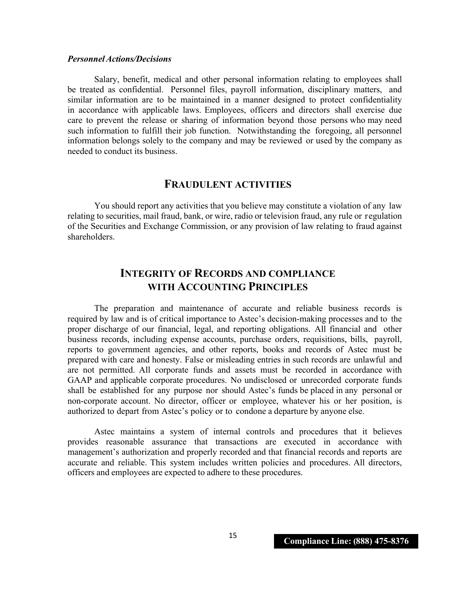## *PersonnelActions/Decisions*

Salary, benefit, medical and other personal information relating to employees shall be treated as confidential. Personnel files, payroll information, disciplinary matters, and similar information are to be maintained in a manner designed to protect confidentiality in accordance with applicable laws. Employees, officers and directors shall exercise due care to prevent the release or sharing of information beyond those persons who may need such information to fulfill their job function. Notwithstanding the foregoing, all personnel information belongs solely to the company and may be reviewed or used by the company as needed to conduct its business.

## **FRAUDULENT ACTIVITIES**

You should report any activities that you believe may constitute a violation of any law relating to securities, mail fraud, bank, or wire, radio or television fraud, any rule or regulation of the Securities and Exchange Commission, or any provision of law relating to fraud against shareholders.

## **INTEGRITY OF RECORDS AND COMPLIANCE WITH ACCOUNTING PRINCIPLES**

The preparation and maintenance of accurate and reliable business records is required by law and is of critical importance to Astec's decision-making processes and to the proper discharge of our financial, legal, and reporting obligations. All financial and other business records, including expense accounts, purchase orders, requisitions, bills, payroll, reports to government agencies, and other reports, books and records of Astec must be prepared with care and honesty. False or misleading entries in such records are unlawful and are not permitted. All corporate funds and assets must be recorded in accordance with GAAP and applicable corporate procedures. No undisclosed or unrecorded corporate funds shall be established for any purpose nor should Astec's funds be placed in any personal or non-corporate account. No director, officer or employee, whatever his or her position, is authorized to depart from Astec's policy or to condone a departure by anyone else.

Astec maintains a system of internal controls and procedures that it believes provides reasonable assurance that transactions are executed in accordance with management's authorization and properly recorded and that financial records and reports are accurate and reliable. This system includes written policies and procedures. All directors, officers and employees are expected to adhere to these procedures.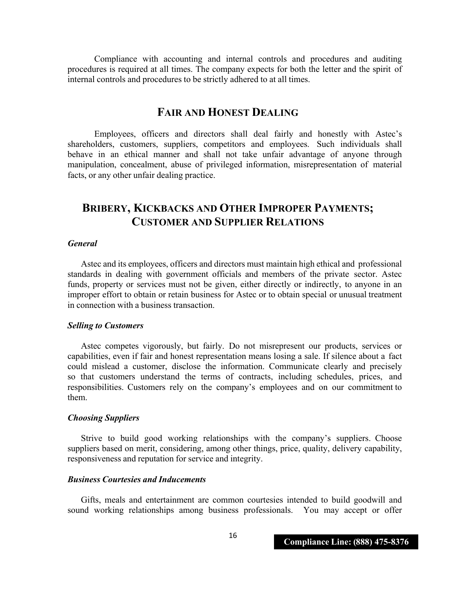Compliance with accounting and internal controls and procedures and auditing procedures is required at all times. The company expects for both the letter and the spirit of internal controls and procedures to be strictly adhered to at all times.

## **FAIR AND HONEST DEALING**

Employees, officers and directors shall deal fairly and honestly with Astec's shareholders, customers, suppliers, competitors and employees. Such individuals shall behave in an ethical manner and shall not take unfair advantage of anyone through manipulation, concealment, abuse of privileged information, misrepresentation of material facts, or any other unfair dealing practice.

## **BRIBERY, KICKBACKS AND OTHER IMPROPER PAYMENTS; CUSTOMER AND SUPPLIER RELATIONS**

### *General*

Astec and its employees, officers and directors must maintain high ethical and professional standards in dealing with government officials and members of the private sector. Astec funds, property or services must not be given, either directly or indirectly, to anyone in an improper effort to obtain or retain business for Astec or to obtain special or unusual treatment in connection with a business transaction.

#### *Selling to Customers*

Astec competes vigorously, but fairly. Do not misrepresent our products, services or capabilities, even if fair and honest representation means losing a sale. If silence about a fact could mislead a customer, disclose the information. Communicate clearly and precisely so that customers understand the terms of contracts, including schedules, prices, and responsibilities. Customers rely on the company's employees and on our commitment to them.

#### *Choosing Suppliers*

Strive to build good working relationships with the company's suppliers. Choose suppliers based on merit, considering, among other things, price, quality, delivery capability, responsiveness and reputation for service and integrity.

#### *Business Courtesies and Inducements*

Gifts, meals and entertainment are common courtesies intended to build goodwill and sound working relationships among business professionals. You may accept or offer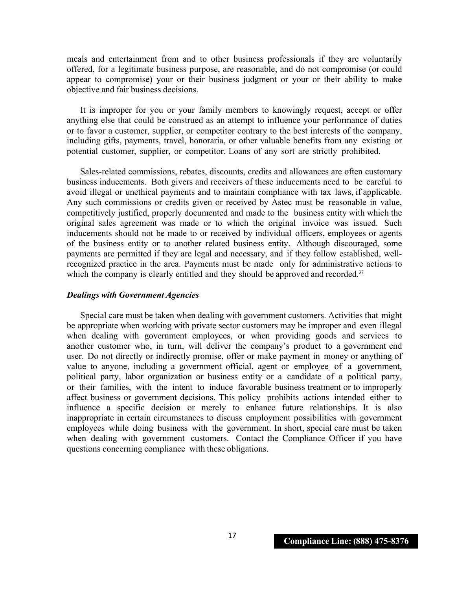meals and entertainment from and to other business professionals if they are voluntarily offered, for a legitimate business purpose, are reasonable, and do not compromise (or could appear to compromise) your or their business judgment or your or their ability to make objective and fair business decisions.

It is improper for you or your family members to knowingly request, accept or offer anything else that could be construed as an attempt to influence your performance of duties or to favor a customer, supplier, or competitor contrary to the best interests of the company, including gifts, payments, travel, honoraria, or other valuable benefits from any existing or potential customer, supplier, or competitor. Loans of any sort are strictly prohibited.

Sales-related commissions, rebates, discounts, credits and allowances are often customary business inducements. Both givers and receivers of these inducements need to be careful to avoid illegal or unethical payments and to maintain compliance with tax laws, if applicable. Any such commissions or credits given or received by Astec must be reasonable in value, competitively justified, properly documented and made to the business entity with which the original sales agreement was made or to which the original invoice was issued. Such inducements should not be made to or received by individual officers, employees or agents of the business entity or to another related business entity. Although discouraged, some payments are permitted if they are legal and necessary, and if they follow established, wellrecognized practice in the area. Payments must be made only for administrative actions to which the company is clearly entitled and they should be approved and recorded.<sup>37</sup>

#### *Dealings with Government Agencies*

Special care must be taken when dealing with government customers. Activities that might be appropriate when working with private sector customers may be improper and even illegal when dealing with government employees, or when providing goods and services to another customer who, in turn, will deliver the company's product to a government end user. Do not directly or indirectly promise, offer or make payment in money or anything of value to anyone, including a government official, agent or employee of a government, political party, labor organization or business entity or a candidate of a political party, or their families, with the intent to induce favorable business treatment or to improperly affect business or government decisions. This policy prohibits actions intended either to influence a specific decision or merely to enhance future relationships. It is also inappropriate in certain circumstances to discuss employment possibilities with government employees while doing business with the government. In short, special care must be taken when dealing with government customers. Contact the Compliance Officer if you have questions concerning compliance with these obligations.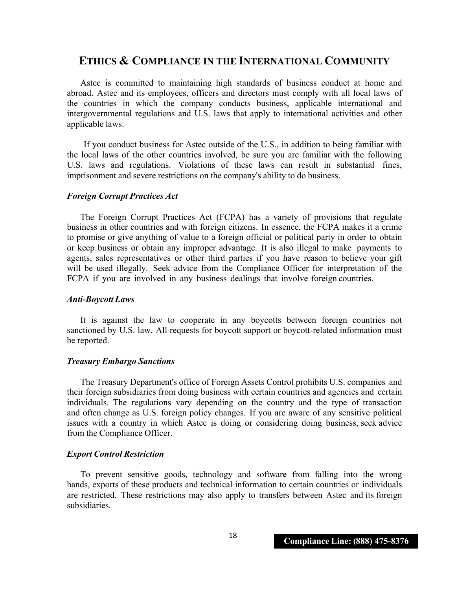## **ETHICS & COMPLIANCE IN THE INTERNATIONAL COMMUNITY**

Astec is committed to maintaining high standards of business conduct at home and abroad. Astec and its employees, officers and directors must comply with all local laws of the countries in which the company conducts business, applicable international and intergovernmental regulations and U.S. laws that apply to international activities and other applicable laws.

If you conduct business for Astec outside of the U.S., in addition to being familiar with the local laws of the other countries involved, be sure you are familiar with the following U.S. laws and regulations. Violations of these laws can result in substantial fines, imprisonment and severe restrictions on the company's ability to do business.

### *Foreign Corrupt Practices Act*

The Foreign Corrupt Practices Act (FCPA) has a variety of provisions that regulate business in other countries and with foreign citizens. In essence, the FCPA makes it a crime to promise or give anything of value to a foreign official or political party in order to obtain or keep business or obtain any improper advantage. It is also illegal to make payments to agents, sales representatives or other third parties if you have reason to believe your gift will be used illegally. Seek advice from the Compliance Officer for interpretation of the FCPA if you are involved in any business dealings that involve foreign countries.

### *Anti-Boycott Laws*

It is against the law to cooperate in any boycotts between foreign countries not sanctioned by U.S. law. All requests for boycott support or boycott-related information must be reported.

## *Treasury Embargo Sanctions*

The Treasury Department's office of Foreign Assets Control prohibits U.S. companies and their foreign subsidiaries from doing business with certain countries and agencies and certain individuals. The regulations vary depending on the country and the type of transaction and often change as U.S. foreign policy changes. If you are aware of any sensitive political issues with a country in which Astec is doing or considering doing business, seek advice from the Compliance Officer.

## *Export Control Restriction*

To prevent sensitive goods, technology and software from falling into the wrong hands, exports of these products and technical information to certain countries or individuals are restricted. These restrictions may also apply to transfers between Astec and its foreign subsidiaries.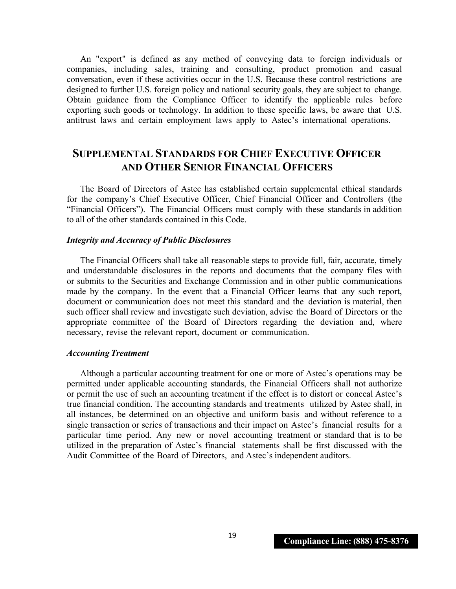An "export" is defined as any method of conveying data to foreign individuals or companies, including sales, training and consulting, product promotion and casual conversation, even if these activities occur in the U.S. Because these control restrictions are designed to further U.S. foreign policy and national security goals, they are subject to change. Obtain guidance from the Compliance Officer to identify the applicable rules before exporting such goods or technology. In addition to these specific laws, be aware that U.S. antitrust laws and certain employment laws apply to Astec's international operations.

## **SUPPLEMENTAL STANDARDS FOR CHIEF EXECUTIVE OFFICER AND OTHER SENIOR FINANCIAL OFFICERS**

The Board of Directors of Astec has established certain supplemental ethical standards for the company's Chief Executive Officer, Chief Financial Officer and Controllers (the "Financial Officers"). The Financial Officers must comply with these standards in addition to all of the other standards contained in this Code.

#### *Integrity and Accuracy of Public Disclosures*

The Financial Officers shall take all reasonable steps to provide full, fair, accurate, timely and understandable disclosures in the reports and documents that the company files with or submits to the Securities and Exchange Commission and in other public communications made by the company. In the event that a Financial Officer learns that any such report, document or communication does not meet this standard and the deviation is material, then such officer shall review and investigate such deviation, advise the Board of Directors or the appropriate committee of the Board of Directors regarding the deviation and, where necessary, revise the relevant report, document or communication.

#### *Accounting Treatment*

Although a particular accounting treatment for one or more of Astec's operations may be permitted under applicable accounting standards, the Financial Officers shall not authorize or permit the use of such an accounting treatment if the effect is to distort or conceal Astec's true financial condition. The accounting standards and treatments utilized by Astec shall, in all instances, be determined on an objective and uniform basis and without reference to a single transaction or series of transactions and their impact on Astec's financial results for a particular time period. Any new or novel accounting treatment or standard that is to be utilized in the preparation of Astec's financial statements shall be first discussed with the Audit Committee of the Board of Directors, and Astec's independent auditors.